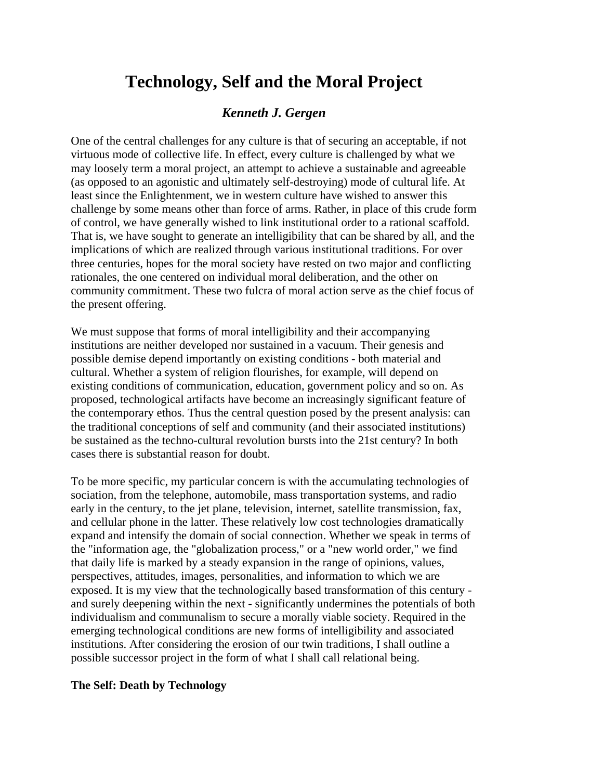# **Technology, Self and the Moral Project**

## *Kenneth J. Gergen*

One of the central challenges for any culture is that of securing an acceptable, if not virtuous mode of collective life. In effect, every culture is challenged by what we may loosely term a moral project, an attempt to achieve a sustainable and agreeable (as opposed to an agonistic and ultimately self-destroying) mode of cultural life. At least since the Enlightenment, we in western culture have wished to answer this challenge by some means other than force of arms. Rather, in place of this crude form of control, we have generally wished to link institutional order to a rational scaffold. That is, we have sought to generate an intelligibility that can be shared by all, and the implications of which are realized through various institutional traditions. For over three centuries, hopes for the moral society have rested on two major and conflicting rationales, the one centered on individual moral deliberation, and the other on community commitment. These two fulcra of moral action serve as the chief focus of the present offering.

We must suppose that forms of moral intelligibility and their accompanying institutions are neither developed nor sustained in a vacuum. Their genesis and possible demise depend importantly on existing conditions - both material and cultural. Whether a system of religion flourishes, for example, will depend on existing conditions of communication, education, government policy and so on. As proposed, technological artifacts have become an increasingly significant feature of the contemporary ethos. Thus the central question posed by the present analysis: can the traditional conceptions of self and community (and their associated institutions) be sustained as the techno-cultural revolution bursts into the 21st century? In both cases there is substantial reason for doubt.

To be more specific, my particular concern is with the accumulating technologies of sociation, from the telephone, automobile, mass transportation systems, and radio early in the century, to the jet plane, television, internet, satellite transmission, fax, and cellular phone in the latter. These relatively low cost technologies dramatically expand and intensify the domain of social connection. Whether we speak in terms of the "information age, the "globalization process," or a "new world order," we find that daily life is marked by a steady expansion in the range of opinions, values, perspectives, attitudes, images, personalities, and information to which we are exposed. It is my view that the technologically based transformation of this century and surely deepening within the next - significantly undermines the potentials of both individualism and communalism to secure a morally viable society. Required in the emerging technological conditions are new forms of intelligibility and associated institutions. After considering the erosion of our twin traditions, I shall outline a possible successor project in the form of what I shall call relational being.

### **The Self: Death by Technology**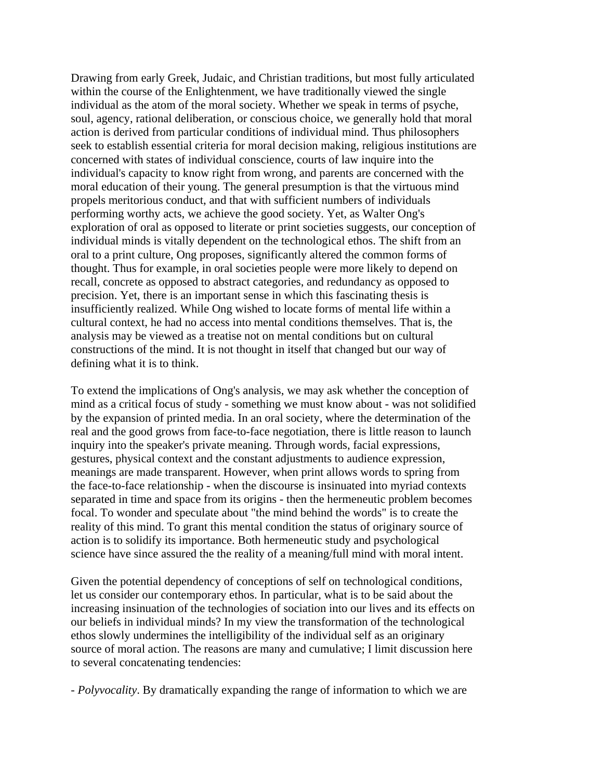Drawing from early Greek, Judaic, and Christian traditions, but most fully articulated within the course of the Enlightenment, we have traditionally viewed the single individual as the atom of the moral society. Whether we speak in terms of psyche, soul, agency, rational deliberation, or conscious choice, we generally hold that moral action is derived from particular conditions of individual mind. Thus philosophers seek to establish essential criteria for moral decision making, religious institutions are concerned with states of individual conscience, courts of law inquire into the individual's capacity to know right from wrong, and parents are concerned with the moral education of their young. The general presumption is that the virtuous mind propels meritorious conduct, and that with sufficient numbers of individuals performing worthy acts, we achieve the good society. Yet, as Walter Ong's exploration of oral as opposed to literate or print societies suggests, our conception of individual minds is vitally dependent on the technological ethos. The shift from an oral to a print culture, Ong proposes, significantly altered the common forms of thought. Thus for example, in oral societies people were more likely to depend on recall, concrete as opposed to abstract categories, and redundancy as opposed to precision. Yet, there is an important sense in which this fascinating thesis is insufficiently realized. While Ong wished to locate forms of mental life within a cultural context, he had no access into mental conditions themselves. That is, the analysis may be viewed as a treatise not on mental conditions but on cultural constructions of the mind. It is not thought in itself that changed but our way of defining what it is to think.

To extend the implications of Ong's analysis, we may ask whether the conception of mind as a critical focus of study - something we must know about - was not solidified by the expansion of printed media. In an oral society, where the determination of the real and the good grows from face-to-face negotiation, there is little reason to launch inquiry into the speaker's private meaning. Through words, facial expressions, gestures, physical context and the constant adjustments to audience expression, meanings are made transparent. However, when print allows words to spring from the face-to-face relationship - when the discourse is insinuated into myriad contexts separated in time and space from its origins - then the hermeneutic problem becomes focal. To wonder and speculate about "the mind behind the words" is to create the reality of this mind. To grant this mental condition the status of originary source of action is to solidify its importance. Both hermeneutic study and psychological science have since assured the the reality of a meaning/full mind with moral intent.

Given the potential dependency of conceptions of self on technological conditions, let us consider our contemporary ethos. In particular, what is to be said about the increasing insinuation of the technologies of sociation into our lives and its effects on our beliefs in individual minds? In my view the transformation of the technological ethos slowly undermines the intelligibility of the individual self as an originary source of moral action. The reasons are many and cumulative; I limit discussion here to several concatenating tendencies:

*- Polyvocality*. By dramatically expanding the range of information to which we are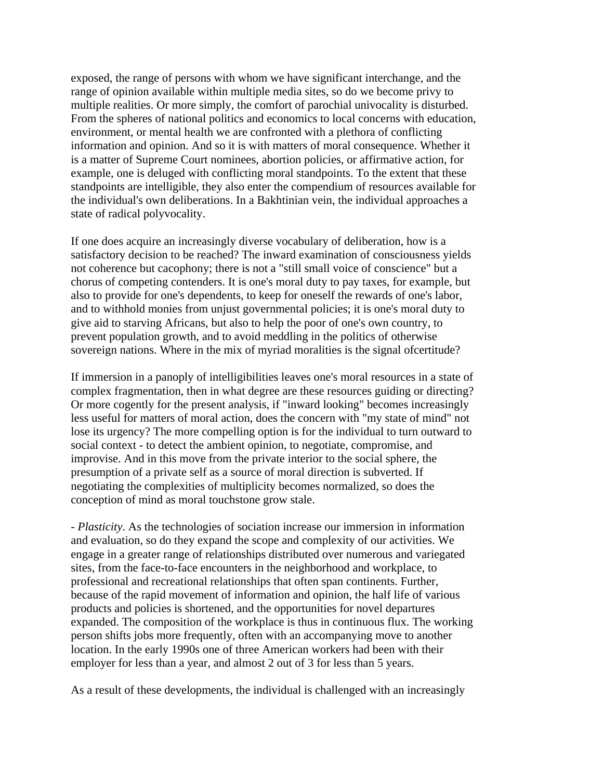exposed, the range of persons with whom we have significant interchange, and the range of opinion available within multiple media sites, so do we become privy to multiple realities. Or more simply, the comfort of parochial univocality is disturbed. From the spheres of national politics and economics to local concerns with education, environment, or mental health we are confronted with a plethora of conflicting information and opinion. And so it is with matters of moral consequence. Whether it is a matter of Supreme Court nominees, abortion policies, or affirmative action, for example, one is deluged with conflicting moral standpoints. To the extent that these standpoints are intelligible, they also enter the compendium of resources available for the individual's own deliberations. In a Bakhtinian vein, the individual approaches a state of radical polyvocality.

If one does acquire an increasingly diverse vocabulary of deliberation, how is a satisfactory decision to be reached? The inward examination of consciousness yields not coherence but cacophony; there is not a "still small voice of conscience" but a chorus of competing contenders. It is one's moral duty to pay taxes, for example, but also to provide for one's dependents, to keep for oneself the rewards of one's labor, and to withhold monies from unjust governmental policies; it is one's moral duty to give aid to starving Africans, but also to help the poor of one's own country, to prevent population growth, and to avoid meddling in the politics of otherwise sovereign nations. Where in the mix of myriad moralities is the signal ofcertitude?

If immersion in a panoply of intelligibilities leaves one's moral resources in a state of complex fragmentation, then in what degree are these resources guiding or directing? Or more cogently for the present analysis, if "inward looking" becomes increasingly less useful for matters of moral action, does the concern with "my state of mind" not lose its urgency? The more compelling option is for the individual to turn outward to social context - to detect the ambient opinion, to negotiate, compromise, and improvise. And in this move from the private interior to the social sphere, the presumption of a private self as a source of moral direction is subverted. If negotiating the complexities of multiplicity becomes normalized, so does the conception of mind as moral touchstone grow stale.

*- Plasticity*. As the technologies of sociation increase our immersion in information and evaluation, so do they expand the scope and complexity of our activities. We engage in a greater range of relationships distributed over numerous and variegated sites, from the face-to-face encounters in the neighborhood and workplace, to professional and recreational relationships that often span continents. Further, because of the rapid movement of information and opinion, the half life of various products and policies is shortened, and the opportunities for novel departures expanded. The composition of the workplace is thus in continuous flux. The working person shifts jobs more frequently, often with an accompanying move to another location. In the early 1990s one of three American workers had been with their employer for less than a year, and almost 2 out of 3 for less than 5 years.

As a result of these developments, the individual is challenged with an increasingly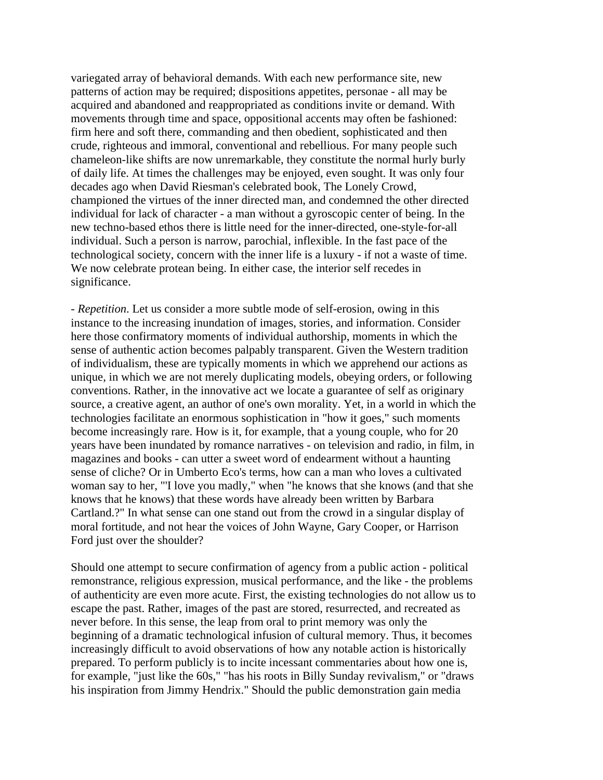variegated array of behavioral demands. With each new performance site, new patterns of action may be required; dispositions appetites, personae - all may be acquired and abandoned and reappropriated as conditions invite or demand. With movements through time and space, oppositional accents may often be fashioned: firm here and soft there, commanding and then obedient, sophisticated and then crude, righteous and immoral, conventional and rebellious. For many people such chameleon-like shifts are now unremarkable, they constitute the normal hurly burly of daily life. At times the challenges may be enjoyed, even sought. It was only four decades ago when David Riesman's celebrated book, The Lonely Crowd, championed the virtues of the inner directed man, and condemned the other directed individual for lack of character - a man without a gyroscopic center of being. In the new techno-based ethos there is little need for the inner-directed, one-style-for-all individual. Such a person is narrow, parochial, inflexible. In the fast pace of the technological society, concern with the inner life is a luxury - if not a waste of time. We now celebrate protean being. In either case, the interior self recedes in significance.

*- Repetition*. Let us consider a more subtle mode of self-erosion, owing in this instance to the increasing inundation of images, stories, and information. Consider here those confirmatory moments of individual authorship, moments in which the sense of authentic action becomes palpably transparent. Given the Western tradition of individualism, these are typically moments in which we apprehend our actions as unique, in which we are not merely duplicating models, obeying orders, or following conventions. Rather, in the innovative act we locate a guarantee of self as originary source, a creative agent, an author of one's own morality. Yet, in a world in which the technologies facilitate an enormous sophistication in "how it goes," such moments become increasingly rare. How is it, for example, that a young couple, who for 20 years have been inundated by romance narratives - on television and radio, in film, in magazines and books - can utter a sweet word of endearment without a haunting sense of cliche? Or in Umberto Eco's terms, how can a man who loves a cultivated woman say to her, "'I love you madly," when "he knows that she knows (and that she knows that he knows) that these words have already been written by Barbara Cartland.?" In what sense can one stand out from the crowd in a singular display of moral fortitude, and not hear the voices of John Wayne, Gary Cooper, or Harrison Ford just over the shoulder?

Should one attempt to secure confirmation of agency from a public action - political remonstrance, religious expression, musical performance, and the like - the problems of authenticity are even more acute. First, the existing technologies do not allow us to escape the past. Rather, images of the past are stored, resurrected, and recreated as never before. In this sense, the leap from oral to print memory was only the beginning of a dramatic technological infusion of cultural memory. Thus, it becomes increasingly difficult to avoid observations of how any notable action is historically prepared. To perform publicly is to incite incessant commentaries about how one is, for example, "just like the 60s," "has his roots in Billy Sunday revivalism," or "draws his inspiration from Jimmy Hendrix." Should the public demonstration gain media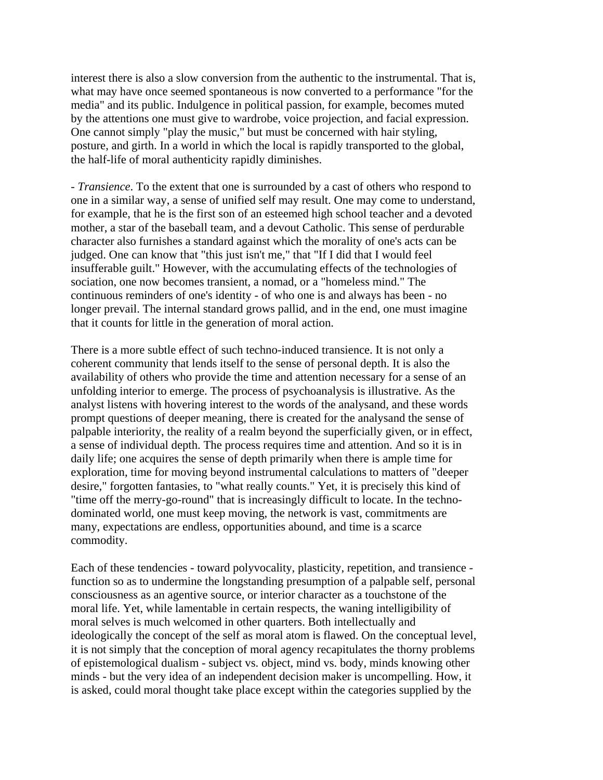interest there is also a slow conversion from the authentic to the instrumental. That is, what may have once seemed spontaneous is now converted to a performance "for the media" and its public. Indulgence in political passion, for example, becomes muted by the attentions one must give to wardrobe, voice projection, and facial expression. One cannot simply "play the music," but must be concerned with hair styling, posture, and girth. In a world in which the local is rapidly transported to the global, the half-life of moral authenticity rapidly diminishes.

*- Transience*. To the extent that one is surrounded by a cast of others who respond to one in a similar way, a sense of unified self may result. One may come to understand, for example, that he is the first son of an esteemed high school teacher and a devoted mother, a star of the baseball team, and a devout Catholic. This sense of perdurable character also furnishes a standard against which the morality of one's acts can be judged. One can know that "this just isn't me," that "If I did that I would feel insufferable guilt." However, with the accumulating effects of the technologies of sociation, one now becomes transient, a nomad, or a "homeless mind." The continuous reminders of one's identity - of who one is and always has been - no longer prevail. The internal standard grows pallid, and in the end, one must imagine that it counts for little in the generation of moral action.

There is a more subtle effect of such techno-induced transience. It is not only a coherent community that lends itself to the sense of personal depth. It is also the availability of others who provide the time and attention necessary for a sense of an unfolding interior to emerge. The process of psychoanalysis is illustrative. As the analyst listens with hovering interest to the words of the analysand, and these words prompt questions of deeper meaning, there is created for the analysand the sense of palpable interiority, the reality of a realm beyond the superficially given, or in effect, a sense of individual depth. The process requires time and attention. And so it is in daily life; one acquires the sense of depth primarily when there is ample time for exploration, time for moving beyond instrumental calculations to matters of "deeper desire," forgotten fantasies, to "what really counts." Yet, it is precisely this kind of "time off the merry-go-round" that is increasingly difficult to locate. In the technodominated world, one must keep moving, the network is vast, commitments are many, expectations are endless, opportunities abound, and time is a scarce commodity.

Each of these tendencies - toward polyvocality, plasticity, repetition, and transience function so as to undermine the longstanding presumption of a palpable self, personal consciousness as an agentive source, or interior character as a touchstone of the moral life. Yet, while lamentable in certain respects, the waning intelligibility of moral selves is much welcomed in other quarters. Both intellectually and ideologically the concept of the self as moral atom is flawed. On the conceptual level, it is not simply that the conception of moral agency recapitulates the thorny problems of epistemological dualism - subject vs. object, mind vs. body, minds knowing other minds - but the very idea of an independent decision maker is uncompelling. How, it is asked, could moral thought take place except within the categories supplied by the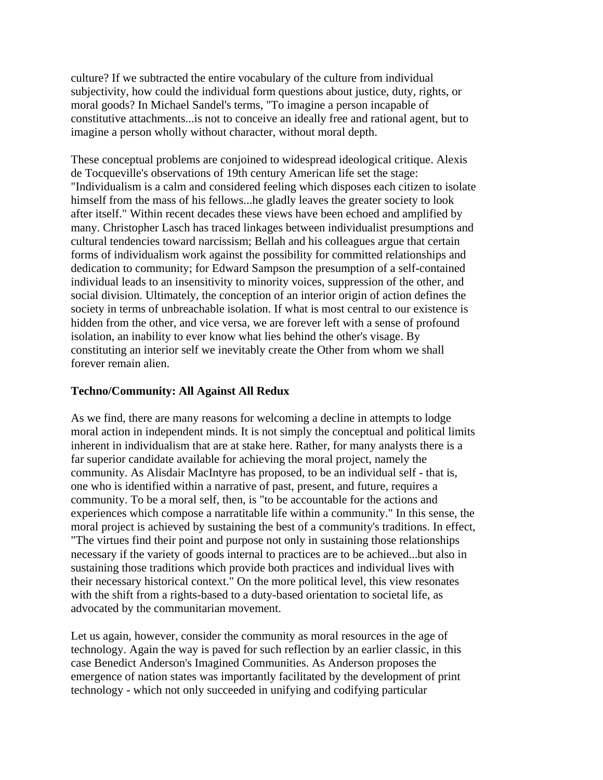culture? If we subtracted the entire vocabulary of the culture from individual subjectivity, how could the individual form questions about justice, duty, rights, or moral goods? In Michael Sandel's terms, "To imagine a person incapable of constitutive attachments...is not to conceive an ideally free and rational agent, but to imagine a person wholly without character, without moral depth.

These conceptual problems are conjoined to widespread ideological critique. Alexis de Tocqueville's observations of 19th century American life set the stage: "Individualism is a calm and considered feeling which disposes each citizen to isolate himself from the mass of his fellows...he gladly leaves the greater society to look after itself." Within recent decades these views have been echoed and amplified by many. Christopher Lasch has traced linkages between individualist presumptions and cultural tendencies toward narcissism; Bellah and his colleagues argue that certain forms of individualism work against the possibility for committed relationships and dedication to community; for Edward Sampson the presumption of a self-contained individual leads to an insensitivity to minority voices, suppression of the other, and social division. Ultimately, the conception of an interior origin of action defines the society in terms of unbreachable isolation. If what is most central to our existence is hidden from the other, and vice versa, we are forever left with a sense of profound isolation, an inability to ever know what lies behind the other's visage. By constituting an interior self we inevitably create the Other from whom we shall forever remain alien.

### **Techno/Community: All Against All Redux**

As we find, there are many reasons for welcoming a decline in attempts to lodge moral action in independent minds. It is not simply the conceptual and political limits inherent in individualism that are at stake here. Rather, for many analysts there is a far superior candidate available for achieving the moral project, namely the community. As Alisdair MacIntyre has proposed, to be an individual self - that is, one who is identified within a narrative of past, present, and future, requires a community. To be a moral self, then, is "to be accountable for the actions and experiences which compose a narratitable life within a community." In this sense, the moral project is achieved by sustaining the best of a community's traditions. In effect, "The virtues find their point and purpose not only in sustaining those relationships necessary if the variety of goods internal to practices are to be achieved...but also in sustaining those traditions which provide both practices and individual lives with their necessary historical context." On the more political level, this view resonates with the shift from a rights-based to a duty-based orientation to societal life, as advocated by the communitarian movement.

Let us again, however, consider the community as moral resources in the age of technology. Again the way is paved for such reflection by an earlier classic, in this case Benedict Anderson's Imagined Communities. As Anderson proposes the emergence of nation states was importantly facilitated by the development of print technology - which not only succeeded in unifying and codifying particular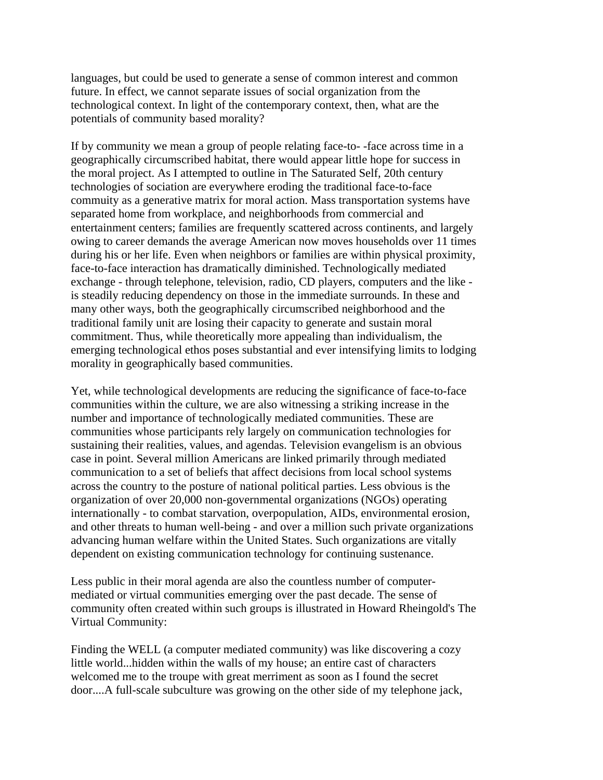languages, but could be used to generate a sense of common interest and common future. In effect, we cannot separate issues of social organization from the technological context. In light of the contemporary context, then, what are the potentials of community based morality?

If by community we mean a group of people relating face-to- -face across time in a geographically circumscribed habitat, there would appear little hope for success in the moral project. As I attempted to outline in The Saturated Self, 20th century technologies of sociation are everywhere eroding the traditional face-to-face commuity as a generative matrix for moral action. Mass transportation systems have separated home from workplace, and neighborhoods from commercial and entertainment centers; families are frequently scattered across continents, and largely owing to career demands the average American now moves households over 11 times during his or her life. Even when neighbors or families are within physical proximity, face-to-face interaction has dramatically diminished. Technologically mediated exchange - through telephone, television, radio, CD players, computers and the like is steadily reducing dependency on those in the immediate surrounds. In these and many other ways, both the geographically circumscribed neighborhood and the traditional family unit are losing their capacity to generate and sustain moral commitment. Thus, while theoretically more appealing than individualism, the emerging technological ethos poses substantial and ever intensifying limits to lodging morality in geographically based communities.

Yet, while technological developments are reducing the significance of face-to-face communities within the culture, we are also witnessing a striking increase in the number and importance of technologically mediated communities. These are communities whose participants rely largely on communication technologies for sustaining their realities, values, and agendas. Television evangelism is an obvious case in point. Several million Americans are linked primarily through mediated communication to a set of beliefs that affect decisions from local school systems across the country to the posture of national political parties. Less obvious is the organization of over 20,000 non-governmental organizations (NGOs) operating internationally - to combat starvation, overpopulation, AIDs, environmental erosion, and other threats to human well-being - and over a million such private organizations advancing human welfare within the United States. Such organizations are vitally dependent on existing communication technology for continuing sustenance.

Less public in their moral agenda are also the countless number of computermediated or virtual communities emerging over the past decade. The sense of community often created within such groups is illustrated in Howard Rheingold's The Virtual Community:

Finding the WELL (a computer mediated community) was like discovering a cozy little world...hidden within the walls of my house; an entire cast of characters welcomed me to the troupe with great merriment as soon as I found the secret door....A full-scale subculture was growing on the other side of my telephone jack,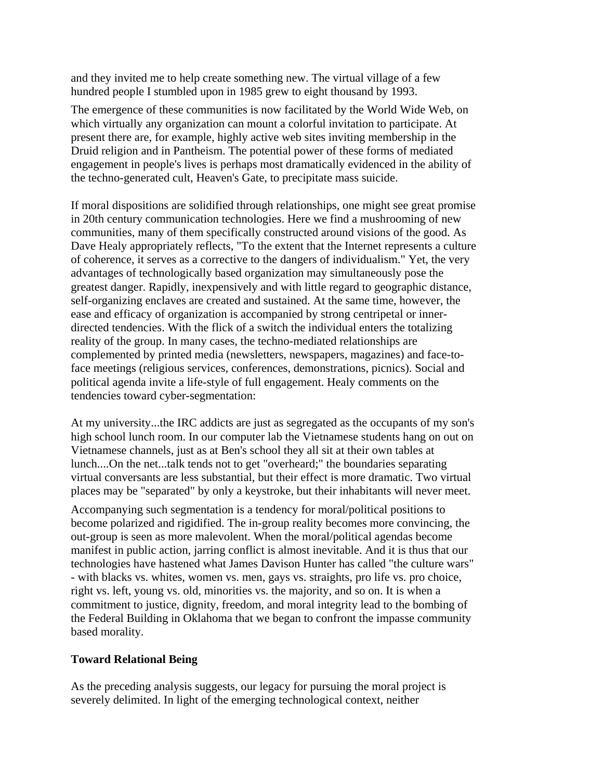and they invited me to help create something new. The virtual village of a few hundred people I stumbled upon in 1985 grew to eight thousand by 1993.

The emergence of these communities is now facilitated by the World Wide Web, on which virtually any organization can mount a colorful invitation to participate. At present there are, for example, highly active web sites inviting membership in the Druid religion and in Pantheism. The potential power of these forms of mediated engagement in people's lives is perhaps most dramatically evidenced in the ability of the techno-generated cult, Heaven's Gate, to precipitate mass suicide.

If moral dispositions are solidified through relationships, one might see great promise in 20th century communication technologies. Here we find a mushrooming of new communities, many of them specifically constructed around visions of the good. As Dave Healy appropriately reflects, "To the extent that the Internet represents a culture of coherence, it serves as a corrective to the dangers of individualism." Yet, the very advantages of technologically based organization may simultaneously pose the greatest danger. Rapidly, inexpensively and with little regard to geographic distance, self-organizing enclaves are created and sustained. At the same time, however, the ease and efficacy of organization is accompanied by strong centripetal or innerdirected tendencies. With the flick of a switch the individual enters the totalizing reality of the group. In many cases, the techno-mediated relationships are complemented by printed media (newsletters, newspapers, magazines) and face-toface meetings (religious services, conferences, demonstrations, picnics). Social and political agenda invite a life-style of full engagement. Healy comments on the tendencies toward cyber-segmentation:

At my university...the IRC addicts are just as segregated as the occupants of my son's high school lunch room. In our computer lab the Vietnamese students hang on out on Vietnamese channels, just as at Ben's school they all sit at their own tables at lunch....On the net...talk tends not to get "overheard;" the boundaries separating virtual conversants are less substantial, but their effect is more dramatic. Two virtual places may be "separated" by only a keystroke, but their inhabitants will never meet.

Accompanying such segmentation is a tendency for moral/political positions to become polarized and rigidified. The in-group reality becomes more convincing, the out-group is seen as more malevolent. When the moral/political agendas become manifest in public action, jarring conflict is almost inevitable. And it is thus that our technologies have hastened what James Davison Hunter has called "the culture wars" - with blacks vs. whites, women vs. men, gays vs. straights, pro life vs. pro choice, right vs. left, young vs. old, minorities vs. the majority, and so on. It is when a commitment to justice, dignity, freedom, and moral integrity lead to the bombing of the Federal Building in Oklahoma that we began to confront the impasse community based morality.

### **Toward Relational Being**

As the preceding analysis suggests, our legacy for pursuing the moral project is severely delimited. In light of the emerging technological context, neither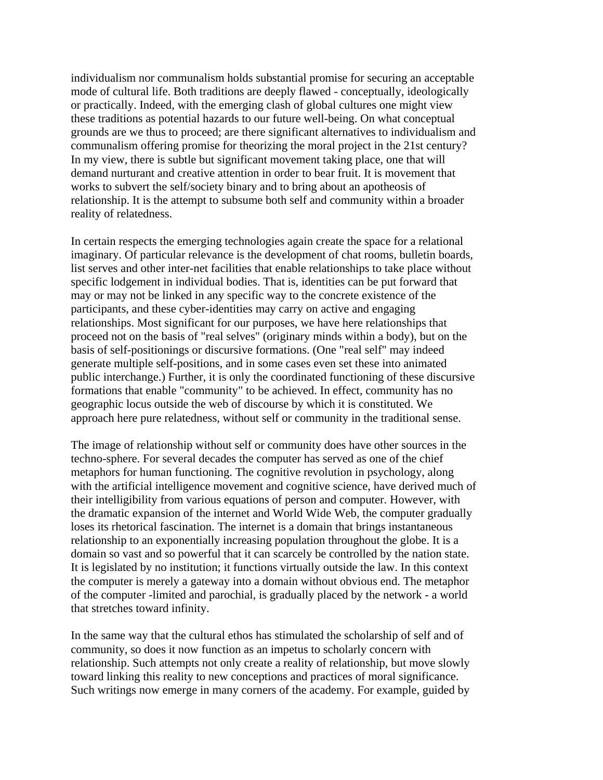individualism nor communalism holds substantial promise for securing an acceptable mode of cultural life. Both traditions are deeply flawed - conceptually, ideologically or practically. Indeed, with the emerging clash of global cultures one might view these traditions as potential hazards to our future well-being. On what conceptual grounds are we thus to proceed; are there significant alternatives to individualism and communalism offering promise for theorizing the moral project in the 21st century? In my view, there is subtle but significant movement taking place, one that will demand nurturant and creative attention in order to bear fruit. It is movement that works to subvert the self/society binary and to bring about an apotheosis of relationship. It is the attempt to subsume both self and community within a broader reality of relatedness.

In certain respects the emerging technologies again create the space for a relational imaginary. Of particular relevance is the development of chat rooms, bulletin boards, list serves and other inter-net facilities that enable relationships to take place without specific lodgement in individual bodies. That is, identities can be put forward that may or may not be linked in any specific way to the concrete existence of the participants, and these cyber-identities may carry on active and engaging relationships. Most significant for our purposes, we have here relationships that proceed not on the basis of "real selves" (originary minds within a body), but on the basis of self-positionings or discursive formations. (One "real self" may indeed generate multiple self-positions, and in some cases even set these into animated public interchange.) Further, it is only the coordinated functioning of these discursive formations that enable "community" to be achieved. In effect, community has no geographic locus outside the web of discourse by which it is constituted. We approach here pure relatedness, without self or community in the traditional sense.

The image of relationship without self or community does have other sources in the techno-sphere. For several decades the computer has served as one of the chief metaphors for human functioning. The cognitive revolution in psychology, along with the artificial intelligence movement and cognitive science, have derived much of their intelligibility from various equations of person and computer. However, with the dramatic expansion of the internet and World Wide Web, the computer gradually loses its rhetorical fascination. The internet is a domain that brings instantaneous relationship to an exponentially increasing population throughout the globe. It is a domain so vast and so powerful that it can scarcely be controlled by the nation state. It is legislated by no institution; it functions virtually outside the law. In this context the computer is merely a gateway into a domain without obvious end. The metaphor of the computer -limited and parochial, is gradually placed by the network - a world that stretches toward infinity.

In the same way that the cultural ethos has stimulated the scholarship of self and of community, so does it now function as an impetus to scholarly concern with relationship. Such attempts not only create a reality of relationship, but move slowly toward linking this reality to new conceptions and practices of moral significance. Such writings now emerge in many corners of the academy. For example, guided by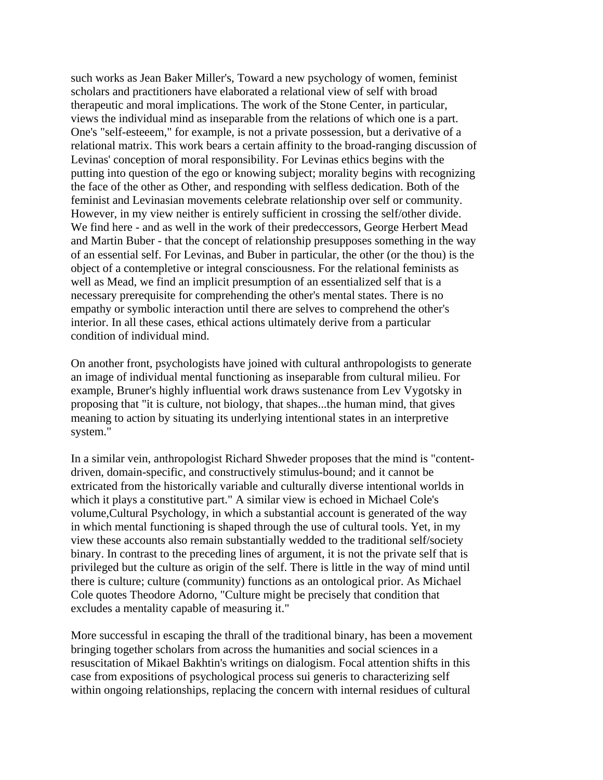such works as Jean Baker Miller's, Toward a new psychology of women, feminist scholars and practitioners have elaborated a relational view of self with broad therapeutic and moral implications. The work of the Stone Center, in particular, views the individual mind as inseparable from the relations of which one is a part. One's "self-esteeem," for example, is not a private possession, but a derivative of a relational matrix. This work bears a certain affinity to the broad-ranging discussion of Levinas' conception of moral responsibility. For Levinas ethics begins with the putting into question of the ego or knowing subject; morality begins with recognizing the face of the other as Other, and responding with selfless dedication. Both of the feminist and Levinasian movements celebrate relationship over self or community. However, in my view neither is entirely sufficient in crossing the self/other divide. We find here - and as well in the work of their predeccessors, George Herbert Mead and Martin Buber - that the concept of relationship presupposes something in the way of an essential self. For Levinas, and Buber in particular, the other (or the thou) is the object of a contempletive or integral consciousness. For the relational feminists as well as Mead, we find an implicit presumption of an essentialized self that is a necessary prerequisite for comprehending the other's mental states. There is no empathy or symbolic interaction until there are selves to comprehend the other's interior. In all these cases, ethical actions ultimately derive from a particular condition of individual mind.

On another front, psychologists have joined with cultural anthropologists to generate an image of individual mental functioning as inseparable from cultural milieu. For example, Bruner's highly influential work draws sustenance from Lev Vygotsky in proposing that "it is culture, not biology, that shapes...the human mind, that gives meaning to action by situating its underlying intentional states in an interpretive system."

In a similar vein, anthropologist Richard Shweder proposes that the mind is "contentdriven, domain-specific, and constructively stimulus-bound; and it cannot be extricated from the historically variable and culturally diverse intentional worlds in which it plays a constitutive part." A similar view is echoed in Michael Cole's volume,Cultural Psychology, in which a substantial account is generated of the way in which mental functioning is shaped through the use of cultural tools. Yet, in my view these accounts also remain substantially wedded to the traditional self/society binary. In contrast to the preceding lines of argument, it is not the private self that is privileged but the culture as origin of the self. There is little in the way of mind until there is culture; culture (community) functions as an ontological prior. As Michael Cole quotes Theodore Adorno, "Culture might be precisely that condition that excludes a mentality capable of measuring it."

More successful in escaping the thrall of the traditional binary, has been a movement bringing together scholars from across the humanities and social sciences in a resuscitation of Mikael Bakhtin's writings on dialogism. Focal attention shifts in this case from expositions of psychological process sui generis to characterizing self within ongoing relationships, replacing the concern with internal residues of cultural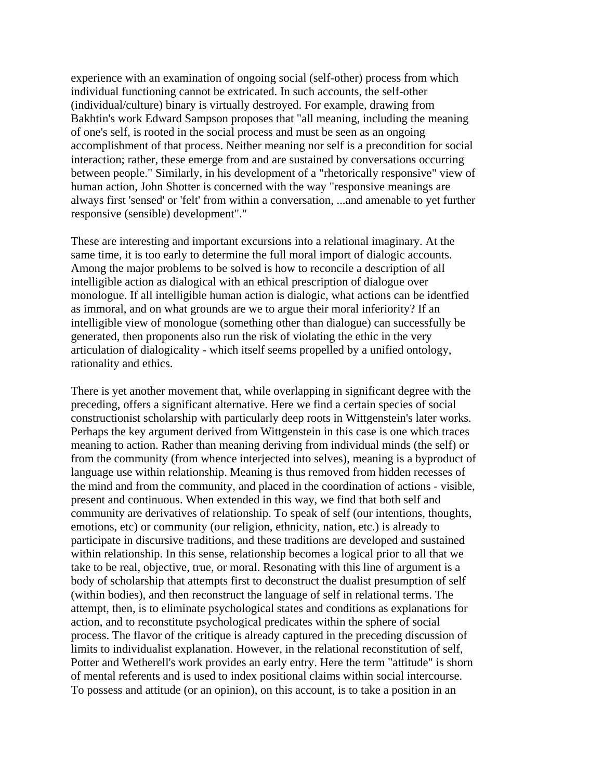experience with an examination of ongoing social (self-other) process from which individual functioning cannot be extricated. In such accounts, the self-other (individual/culture) binary is virtually destroyed. For example, drawing from Bakhtin's work Edward Sampson proposes that "all meaning, including the meaning of one's self, is rooted in the social process and must be seen as an ongoing accomplishment of that process. Neither meaning nor self is a precondition for social interaction; rather, these emerge from and are sustained by conversations occurring between people." Similarly, in his development of a "rhetorically responsive" view of human action, John Shotter is concerned with the way "responsive meanings are always first 'sensed' or 'felt' from within a conversation, ...and amenable to yet further responsive (sensible) development"."

These are interesting and important excursions into a relational imaginary. At the same time, it is too early to determine the full moral import of dialogic accounts. Among the major problems to be solved is how to reconcile a description of all intelligible action as dialogical with an ethical prescription of dialogue over monologue. If all intelligible human action is dialogic, what actions can be identfied as immoral, and on what grounds are we to argue their moral inferiority? If an intelligible view of monologue (something other than dialogue) can successfully be generated, then proponents also run the risk of violating the ethic in the very articulation of dialogicality - which itself seems propelled by a unified ontology, rationality and ethics.

There is yet another movement that, while overlapping in significant degree with the preceding, offers a significant alternative. Here we find a certain species of social constructionist scholarship with particularly deep roots in Wittgenstein's later works. Perhaps the key argument derived from Wittgenstein in this case is one which traces meaning to action. Rather than meaning deriving from individual minds (the self) or from the community (from whence interjected into selves), meaning is a byproduct of language use within relationship. Meaning is thus removed from hidden recesses of the mind and from the community, and placed in the coordination of actions - visible, present and continuous. When extended in this way, we find that both self and community are derivatives of relationship. To speak of self (our intentions, thoughts, emotions, etc) or community (our religion, ethnicity, nation, etc.) is already to participate in discursive traditions, and these traditions are developed and sustained within relationship. In this sense, relationship becomes a logical prior to all that we take to be real, objective, true, or moral. Resonating with this line of argument is a body of scholarship that attempts first to deconstruct the dualist presumption of self (within bodies), and then reconstruct the language of self in relational terms. The attempt, then, is to eliminate psychological states and conditions as explanations for action, and to reconstitute psychological predicates within the sphere of social process. The flavor of the critique is already captured in the preceding discussion of limits to individualist explanation. However, in the relational reconstitution of self, Potter and Wetherell's work provides an early entry. Here the term "attitude" is shorn of mental referents and is used to index positional claims within social intercourse. To possess and attitude (or an opinion), on this account, is to take a position in an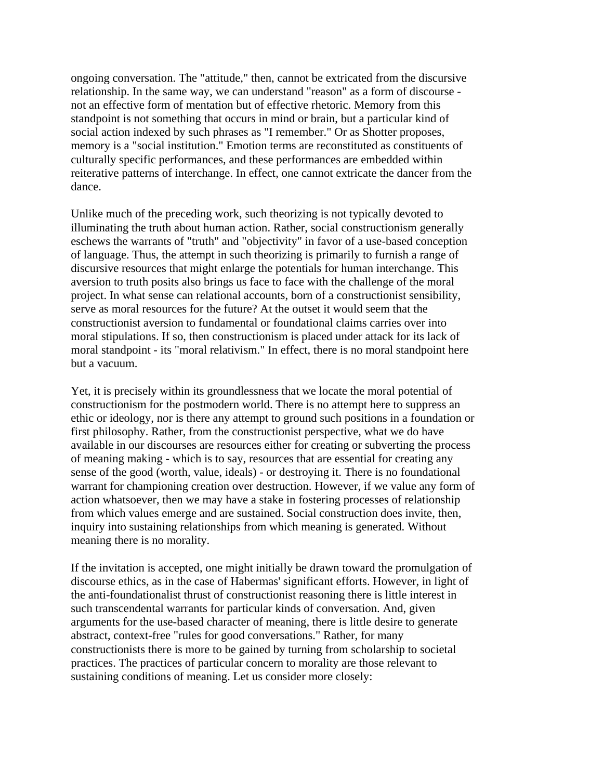ongoing conversation. The "attitude," then, cannot be extricated from the discursive relationship. In the same way, we can understand "reason" as a form of discourse not an effective form of mentation but of effective rhetoric. Memory from this standpoint is not something that occurs in mind or brain, but a particular kind of social action indexed by such phrases as "I remember." Or as Shotter proposes, memory is a "social institution." Emotion terms are reconstituted as constituents of culturally specific performances, and these performances are embedded within reiterative patterns of interchange. In effect, one cannot extricate the dancer from the dance.

Unlike much of the preceding work, such theorizing is not typically devoted to illuminating the truth about human action. Rather, social constructionism generally eschews the warrants of "truth" and "objectivity" in favor of a use-based conception of language. Thus, the attempt in such theorizing is primarily to furnish a range of discursive resources that might enlarge the potentials for human interchange. This aversion to truth posits also brings us face to face with the challenge of the moral project. In what sense can relational accounts, born of a constructionist sensibility, serve as moral resources for the future? At the outset it would seem that the constructionist aversion to fundamental or foundational claims carries over into moral stipulations. If so, then constructionism is placed under attack for its lack of moral standpoint - its "moral relativism." In effect, there is no moral standpoint here but a vacuum.

Yet, it is precisely within its groundlessness that we locate the moral potential of constructionism for the postmodern world. There is no attempt here to suppress an ethic or ideology, nor is there any attempt to ground such positions in a foundation or first philosophy. Rather, from the constructionist perspective, what we do have available in our discourses are resources either for creating or subverting the process of meaning making - which is to say, resources that are essential for creating any sense of the good (worth, value, ideals) - or destroying it. There is no foundational warrant for championing creation over destruction. However, if we value any form of action whatsoever, then we may have a stake in fostering processes of relationship from which values emerge and are sustained. Social construction does invite, then, inquiry into sustaining relationships from which meaning is generated. Without meaning there is no morality.

If the invitation is accepted, one might initially be drawn toward the promulgation of discourse ethics, as in the case of Habermas' significant efforts. However, in light of the anti-foundationalist thrust of constructionist reasoning there is little interest in such transcendental warrants for particular kinds of conversation. And, given arguments for the use-based character of meaning, there is little desire to generate abstract, context-free "rules for good conversations." Rather, for many constructionists there is more to be gained by turning from scholarship to societal practices. The practices of particular concern to morality are those relevant to sustaining conditions of meaning. Let us consider more closely: